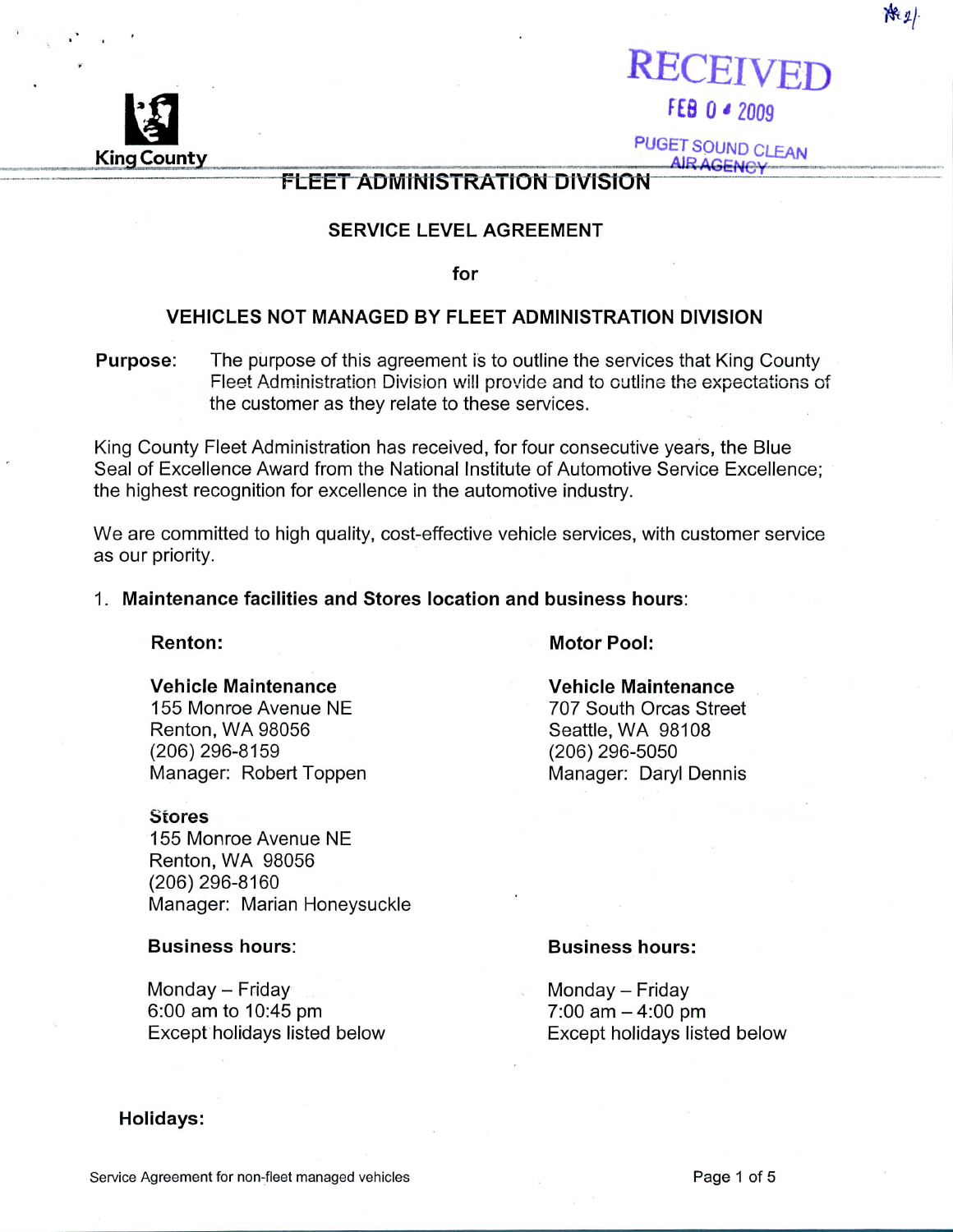Service Agreement for non-fleet managed vehicles . The example of the state of the Page 1 of 5

# **FLEET ADMINISTRATION DIVISION**

## **SERVICE LEVEL AGREEMENT**

**for**

## **VEHICLES NOT MANAGED BY FLEET ADMINISTRATION DIVISION**

**Purpose:** The purpose of this agreement is to outline the services that King County Fleet Administration Division will provide and to outline the expectations of the customer as they relate to these services.

King County Fleet Administration has received, for four consecutive years, the Blue Seal of Excellence Award from the National Institute of Automotive Service Excellence; the highest recognition for excellence in the automotive industry.

We are committed to high quality, cost-effective vehicle services, with customer service as our priority.

### **1. Maintenance facilities and Stores location and business hours:**

### **Renton:** Motor Pool:

### **Vehicle Maintenance Vehicle Maintenance**

155 Monroe Avenue NE 707 South Orcas Street Renton, WA 98056 Seattle, WA 98108 (206)296-8159 (206)296-5050

### **Stores**

155 Monroe Avenue NE Renton, WA 98056 (206)296-8160 Manager: Marian Honeysuckle

Monday - Friday Monday - Friday 6:00 am to 10:45 pm 7:00 am-4:00 pm Except holidays listed below Except holidays listed below

### **Holidays:**

### **Business hours: Business hours:**

Manager: Robert Toppen Manager: Daryl Dennis

RECEIVED

**AIR AGENCY** 

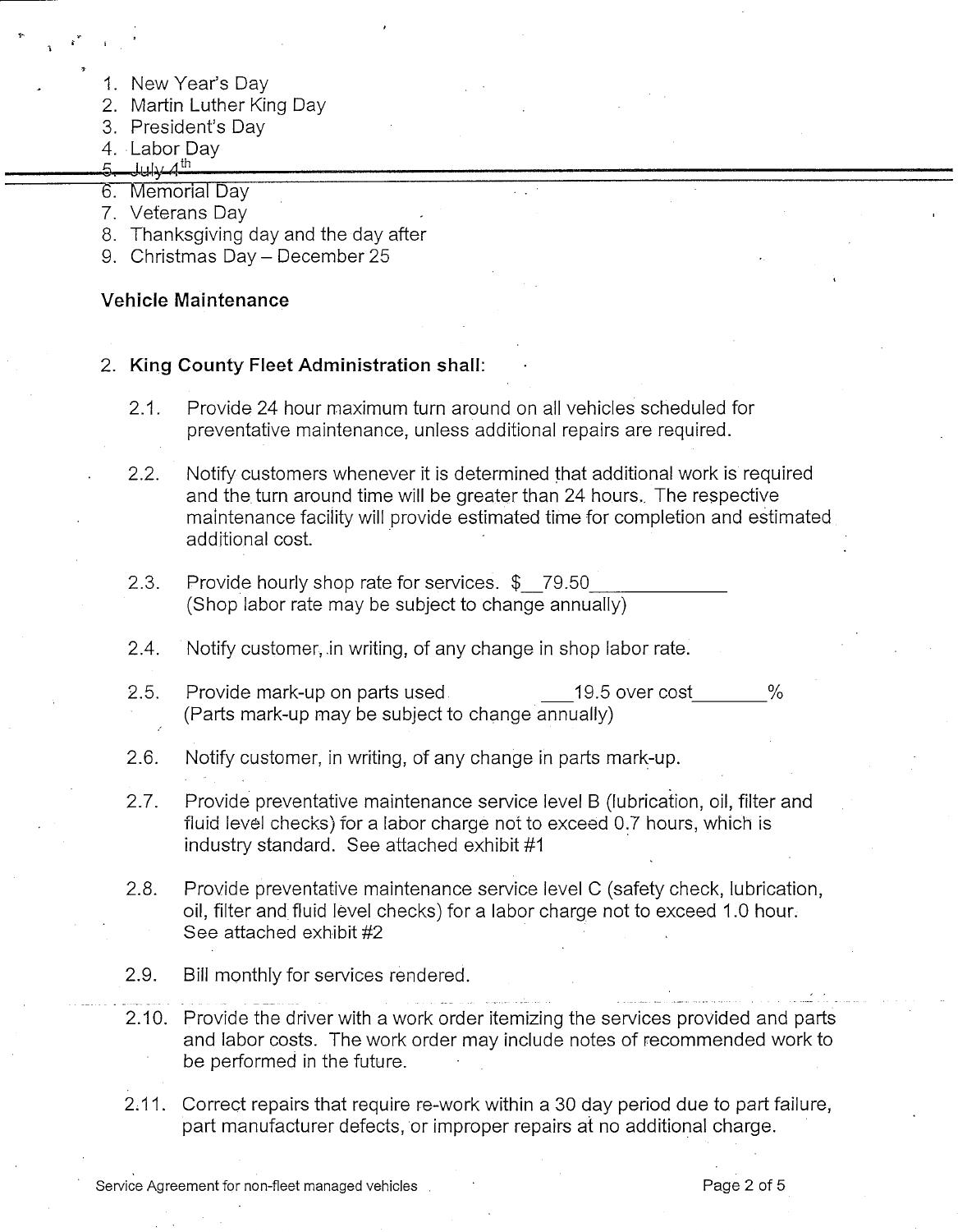- 1. New Year's Day
- 2. Martin Luther King Day
- 3. President's Day
- 4. Labor Day
- 5  $\mu$
- 6. Memorial Day
- 7. Veterans Day
- 8. Thanksgiving day and the day after
- 9. Christmas Day December 25

## **Vehicle Maintenance**

- **2. King County Fleet Administration shall:**
	- 2.1. Provide 24 hour maximum turn around on all vehicles scheduled for preventative maintenance, unless additional repairs are required.
	- 2.2. Notify customers whenever it is determined that additional work is required and the turn around time will be greater than 24 hours,. The respective maintenance facility will provide estimated time for completion and estimated additional cost.
	- 2.3. Provide hourly shop rate for services. \$ 79.50\_ (Shop labor rate may be subject to change annually)
	- 2.4. Notify customer, in writing, of any change in shop labor rate.
	- 2.5. Provide mark-up on parts used 19.5 over cost 2.5. (Parts mark-up may be subject to change annually)
	- 2.6. Notify customer, in writing, of any change in parts mark-up.
	- 2.7. Provide preventative maintenance service level B (lubrication, oil, filter and fluid level checks) for a labor charge not to exceed 0.7 hours, which is industry standard. See attached exhibit #1
	- 2.8. Provide preventative maintenance service level C (safety check, lubrication, oil, filter and fluid level checks) for a labor charge not to exceed 1.0 hour. See attached exhibit #2
	- 2.9. Bill monthly for services rendered.
	- 2.10. Provide the driver with a work order itemizing the services provided and parts and labor costs. The work order may include notes of recommended work to be performed in the future.
	- 2.11. Correct repairs that require re-work within a 30 day period due to part failure, part manufacturer defects, or improper repairs at no additional charge.

Service Agreement for non-fleet managed vehicles . The managed vehicles the managed vehicles in the managed vehicles in the managed vehicles in the managed vehicles in the managed vehicles in the managed vehicles in the ma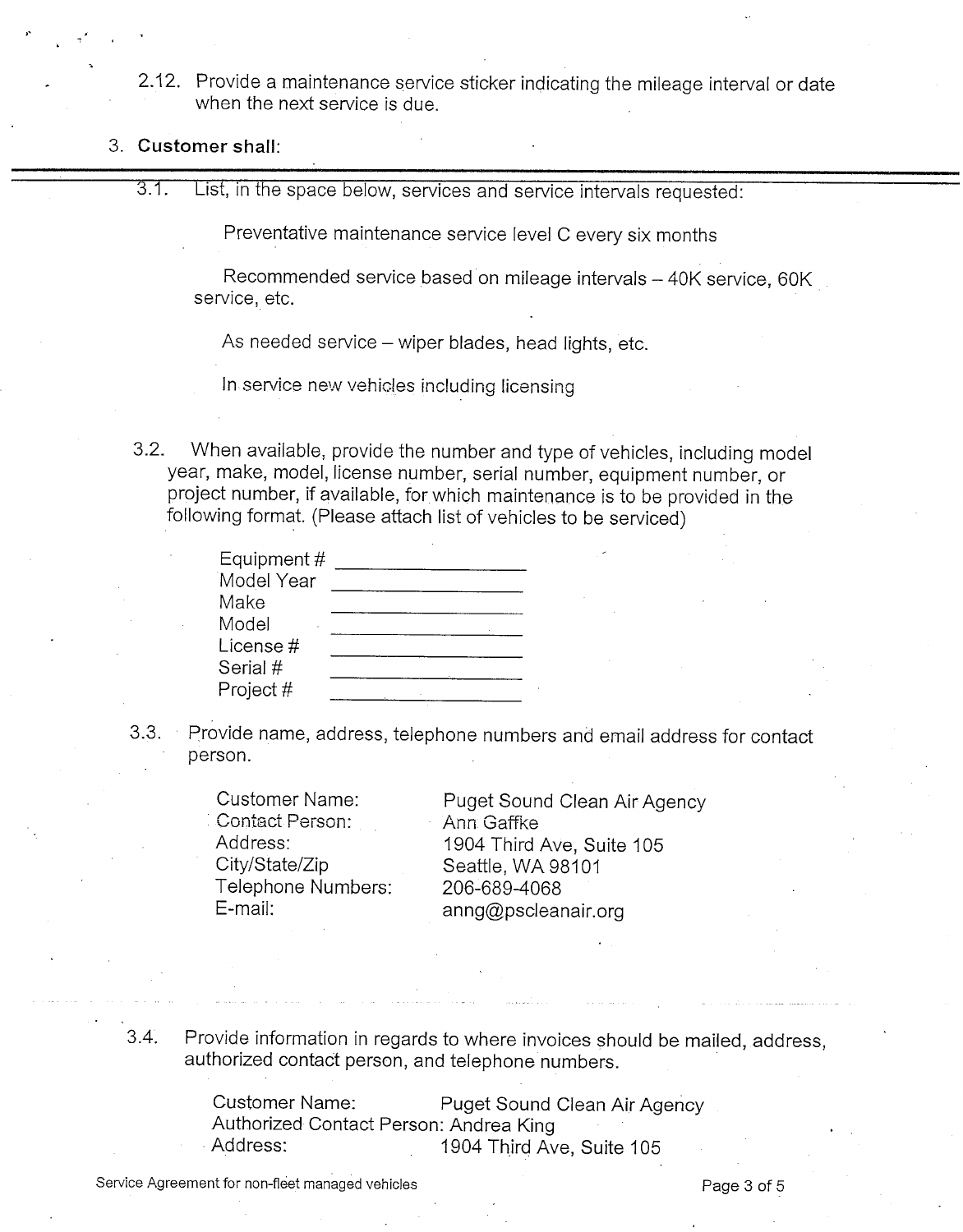2.12. Provide a maintenance service sticker indicating the mileage interval or date when the next service is due.

## **3. Customer shall:**

3.1. List, in the space below, services and service intervals requested:

Preventative maintenance service level C every six months

Recommended service based on mileage intervals - 40K service, 60K service, etc.

As needed service – wiper blades, head lights, etc.

In service new vehicles including licensing

3.2. When available, provide the number and type of vehicles, including model year, make, model, license number, serial number, equipment number, or project number, if available, for which maintenance is to be provided in the following format. (Please attach list of vehicles to be serviced)

| Equipment $#$ |  |
|---------------|--|
| Model Year    |  |
| Make          |  |
| Model         |  |
| License#      |  |
| Serial #      |  |
| Project #     |  |

3.3. Provide name, address, telephone numbers and email address for contact person.

> ' Contact Person: Ann. Gaffke City/State/Zip Seattle, WA 98101 Telephone Numbers: 206-689-4068

Customer Name: Puget Sound Clean Air Agency Address: 1904 Third Ave, Suite 105 E-mail: anng@pscleanair.org

3.4. Provide information in regards to where invoices should be mailed, address, authorized contact person, and telephone numbers.

> Customer Name: Puget Sound Clean Air Agency Authorized Contact Person: Andrea King Address: 1904 Third Ave, Suite 105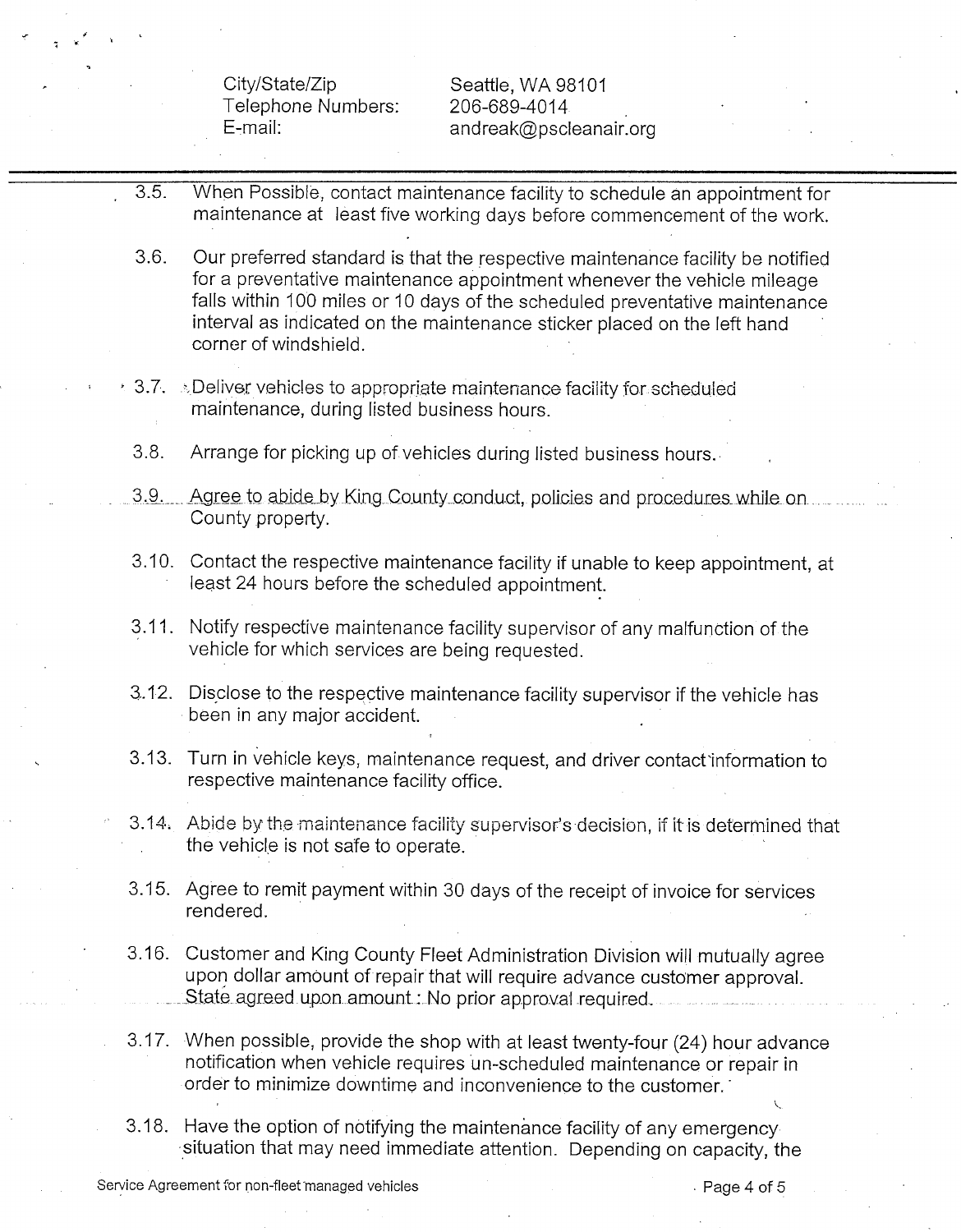City/State/Zip Seattle, WA 98101 Telephone Numbers: 206-689-4014

E-mail: andreak@pscleanair.org

- 3.5. When Possible, contact maintenance facility to schedule an appointment for maintenance at least five working days before commencement of the work.
- 3.6. Our preferred standard is that the respective maintenance facility be notified for a preventative maintenance appointment whenever the vehicle mileage falls within 100 miles or 10 days of the scheduled preventative maintenance interval as indicated on the maintenance sticker placed on the left hand corner of windshield.
- $\sim$  3.7.  $\sim$  Deliver vehicles to appropriate maintenance facility for scheduled maintenance, during listed business hours.
	- 3.8. Arrange for picking up of vehicles during listed business hours.
- 3.9. Agree to abide by King County conduct, policies and procedures while on County property.
- 3.10. Contact the respective maintenance facility if unable to keep appointment, at least 24 hours before the scheduled appointment.
- 3.11. Notify respective maintenance facility supervisor of any malfunction of the vehicle for which services are being requested.
- 3.12. Disclose to the respective maintenance facility supervisor if the vehicle has been in any major accident.
- 3.13. Turn in vehicle keys, maintenance request, and driver contact information to respective maintenance facility office.
- 3.14; Abide by the maintenance facility supervisor's decision, if it is determined that the vehicle is not safe to operate.
- 3.15. Agree to remit payment within 30 days of the receipt of invoice for services rendered.
- 3.16. Customer and King County Fleet Administration Division will mutually agree upon dollar amount of repair that will require advance customer approval. State agreed upon amount: No prior approval required,
- 3.17. When possible, provide the shop with at least twenty-four (24) hour advance notification when vehicle requires un-scheduled maintenance or repair in order to minimize downtime and inconvenience to the customer.'
- 3.18. Have the option of notifying the maintenance facility of any emergency situation that may need immediate attention. Depending on capacity, the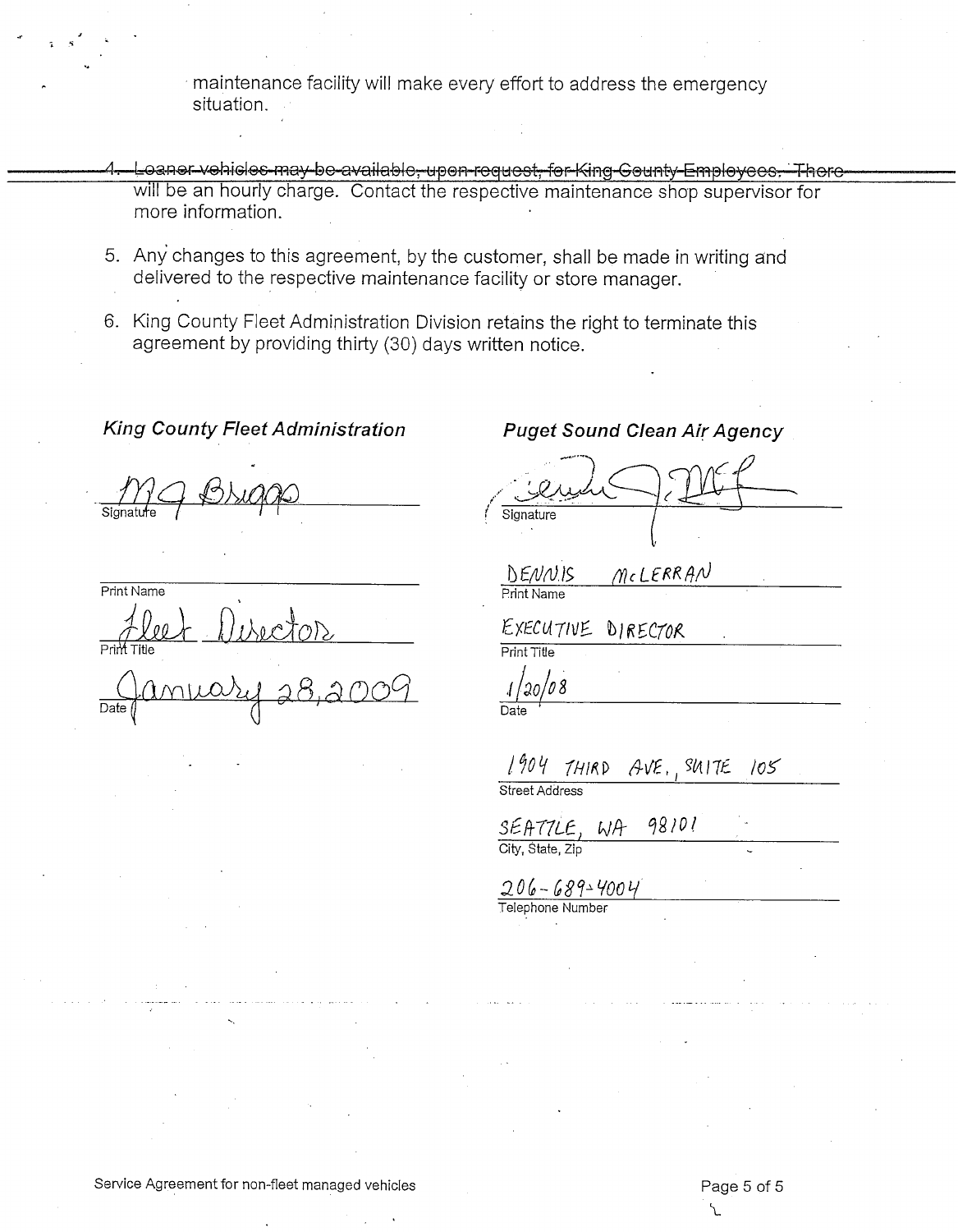maintenance facility will make every effort to address the emergency situation.

- Loaner vehicles may be available, upon-request, for King-Gounty-Employees, Thore will be an hourly charge. Contact the respective maintenance shop supervisor for more information.
- 5. Any changes to this agreement, by the customer, shall be made in writing and delivered to the respective maintenance facility or store manager.
- 6. King County Fleet Administration Division retains the right to terminate this agreement by providing thirty (30) days written notice.

### **King County Fleet Administration**

 $\frac{1}{\text{Signature}}$ 

Print Name Prim<sup>t</sup> Title

Date:

**Puget Sound Clean Air Agency**<br>
<u>Compute</u> Signature

DENNIS Print Name

EXECUTIVE DIRECTOR

Print Title

*tkolo\** Date

 $1904$  THIRD AVE, SUITE 105

Street Address

SEATTLE,  $WA$  98101

 $206 - 689 - 4004$ <br>Telephone Number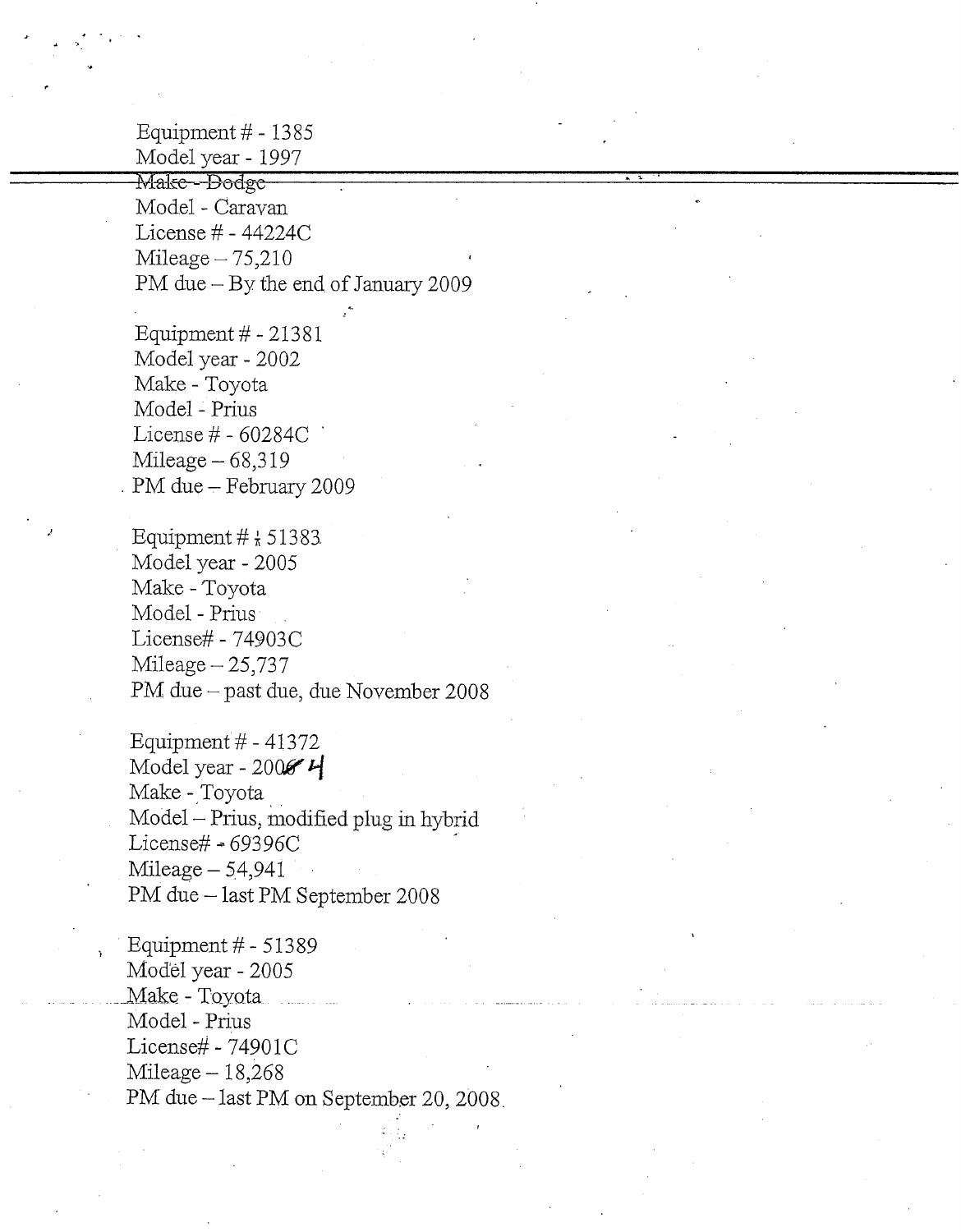Equipment *#-* 1385 Model year- 1997

Make - Dodge Model - Caravan License # - 44224C Mileage $-75,210$ PM due - By the end of January 2009

Equipment #-21381 Model year - 2002 Make - Toyota Model - Prius License *#-* 60284C ' Mileage-68,319 . PM due - February 2009

Equipment  $\#$   $\frac{1}{2}$  51383 Model year - 2005 Make - Toyota Model - Prius License# - 74903C Mileage  $-25,737$ PM due - past due, due November 2008

Equipment #-41372 Model year - 2006 $4$ Make - Toyota Model - Prius, modified plug in hybrid License#  $-69396C$  $Mileage - 54,941$ PM due - last PM September 2008

Equipment #-513 89 Model year - 2005 Make - Toyota Model - Prius License# - 74901C  $Mileage-18,268$ PM due - last PM on September 20, 2008.